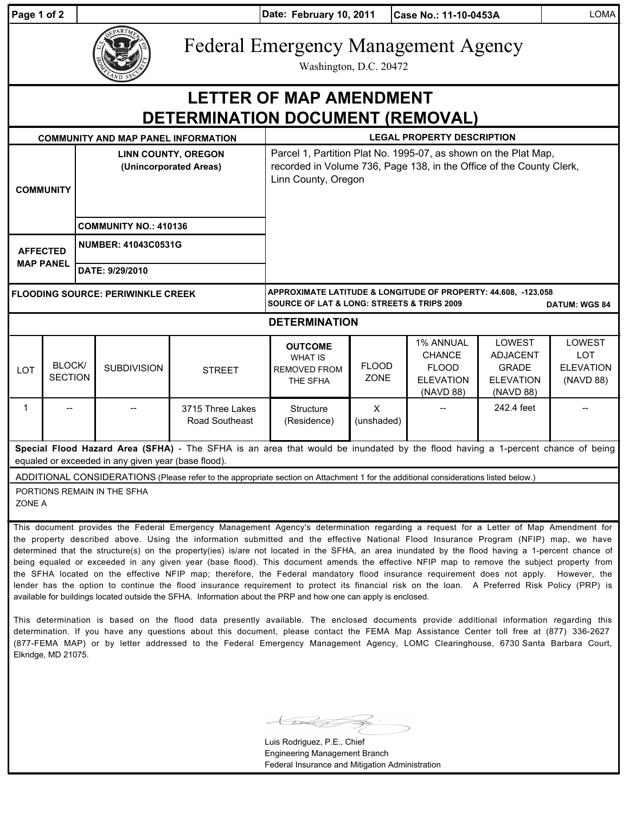| Page 1 of 2                                                                                                                                                                           |                                                                                                                                                                                                                                                                                                                                                                                                                                                                                                                                                                                | Date: February 10, 2011<br>Case No.: 11-10-0453A     |                                            |                                    |                                                                                                                                                                |                             |                                                                             |                                                                            | <b>LOMA</b>                                           |  |
|---------------------------------------------------------------------------------------------------------------------------------------------------------------------------------------|--------------------------------------------------------------------------------------------------------------------------------------------------------------------------------------------------------------------------------------------------------------------------------------------------------------------------------------------------------------------------------------------------------------------------------------------------------------------------------------------------------------------------------------------------------------------------------|------------------------------------------------------|--------------------------------------------|------------------------------------|----------------------------------------------------------------------------------------------------------------------------------------------------------------|-----------------------------|-----------------------------------------------------------------------------|----------------------------------------------------------------------------|-------------------------------------------------------|--|
|                                                                                                                                                                                       |                                                                                                                                                                                                                                                                                                                                                                                                                                                                                                                                                                                |                                                      |                                            |                                    | <b>Federal Emergency Management Agency</b><br>Washington, D.C. 20472                                                                                           |                             |                                                                             |                                                                            |                                                       |  |
| <b>LETTER OF MAP AMENDMENT</b><br>DETERMINATION DOCUMENT (REMOVAL)                                                                                                                    |                                                                                                                                                                                                                                                                                                                                                                                                                                                                                                                                                                                |                                                      |                                            |                                    |                                                                                                                                                                |                             |                                                                             |                                                                            |                                                       |  |
|                                                                                                                                                                                       |                                                                                                                                                                                                                                                                                                                                                                                                                                                                                                                                                                                |                                                      | <b>COMMUNITY AND MAP PANEL INFORMATION</b> |                                    | <b>LEGAL PROPERTY DESCRIPTION</b>                                                                                                                              |                             |                                                                             |                                                                            |                                                       |  |
| <b>COMMUNITY</b>                                                                                                                                                                      |                                                                                                                                                                                                                                                                                                                                                                                                                                                                                                                                                                                | <b>LINN COUNTY, OREGON</b><br>(Unincorporated Areas) |                                            |                                    | Parcel 1, Partition Plat No. 1995-07, as shown on the Plat Map,<br>recorded in Volume 736, Page 138, in the Office of the County Clerk,<br>Linn County, Oregon |                             |                                                                             |                                                                            |                                                       |  |
|                                                                                                                                                                                       |                                                                                                                                                                                                                                                                                                                                                                                                                                                                                                                                                                                | <b>COMMUNITY NO.: 410136</b>                         |                                            |                                    |                                                                                                                                                                |                             |                                                                             |                                                                            |                                                       |  |
| <b>AFFECTED</b><br><b>MAP PANEL</b>                                                                                                                                                   |                                                                                                                                                                                                                                                                                                                                                                                                                                                                                                                                                                                | <b>NUMBER: 41043C0531G</b>                           |                                            |                                    |                                                                                                                                                                |                             |                                                                             |                                                                            |                                                       |  |
|                                                                                                                                                                                       |                                                                                                                                                                                                                                                                                                                                                                                                                                                                                                                                                                                |                                                      | DATE: 9/29/2010                            |                                    |                                                                                                                                                                |                             |                                                                             |                                                                            |                                                       |  |
| <b>FLOODING SOURCE: PERIWINKLE CREEK</b>                                                                                                                                              |                                                                                                                                                                                                                                                                                                                                                                                                                                                                                                                                                                                |                                                      |                                            |                                    | APPROXIMATE LATITUDE & LONGITUDE OF PROPERTY: 44.608, -123.058<br><b>SOURCE OF LAT &amp; LONG: STREETS &amp; TRIPS 2009</b><br><b>DATUM: WGS 84</b>            |                             |                                                                             |                                                                            |                                                       |  |
| <b>DETERMINATION</b>                                                                                                                                                                  |                                                                                                                                                                                                                                                                                                                                                                                                                                                                                                                                                                                |                                                      |                                            |                                    |                                                                                                                                                                |                             |                                                                             |                                                                            |                                                       |  |
| LOT                                                                                                                                                                                   | BLOCK/<br><b>SECTION</b>                                                                                                                                                                                                                                                                                                                                                                                                                                                                                                                                                       |                                                      | <b>SUBDIVISION</b>                         | <b>STREET</b>                      | <b>OUTCOME</b><br><b>WHAT IS</b><br><b>REMOVED FROM</b><br>THE SFHA                                                                                            | <b>FLOOD</b><br><b>ZONE</b> | 1% ANNUAL<br><b>CHANCE</b><br><b>FLOOD</b><br><b>ELEVATION</b><br>(NAVD 88) | LOWEST<br><b>ADJACENT</b><br><b>GRADE</b><br><b>ELEVATION</b><br>(NAVD 88) | LOWEST<br><b>LOT</b><br><b>ELEVATION</b><br>(NAVD 88) |  |
| $\mathbf{1}$                                                                                                                                                                          |                                                                                                                                                                                                                                                                                                                                                                                                                                                                                                                                                                                |                                                      |                                            | 3715 Three Lakes<br>Road Southeast | Structure<br>(Residence)                                                                                                                                       | $\sf X$<br>(unshaded)       |                                                                             | 242.4 feet                                                                 |                                                       |  |
| Special Flood Hazard Area (SFHA) - The SFHA is an area that would be inundated by the flood having a 1-percent chance of being<br>equaled or exceeded in any given year (base flood). |                                                                                                                                                                                                                                                                                                                                                                                                                                                                                                                                                                                |                                                      |                                            |                                    |                                                                                                                                                                |                             |                                                                             |                                                                            |                                                       |  |
| ADDITIONAL CONSIDERATIONS (Please refer to the appropriate section on Attachment 1 for the additional considerations listed below.)                                                   |                                                                                                                                                                                                                                                                                                                                                                                                                                                                                                                                                                                |                                                      |                                            |                                    |                                                                                                                                                                |                             |                                                                             |                                                                            |                                                       |  |
| PORTIONS REMAIN IN THE SFHA<br>ZONE A                                                                                                                                                 |                                                                                                                                                                                                                                                                                                                                                                                                                                                                                                                                                                                |                                                      |                                            |                                    |                                                                                                                                                                |                             |                                                                             |                                                                            |                                                       |  |
|                                                                                                                                                                                       | This document provides the Federal Emergency Management Agency's determination regarding a request for a Letter of Map Amendment for<br>the property described above. Using the information submitted and the effective National Flood Insurance Program (NFIP) map, we have<br>determined that the structure(s) on the property(ies) is/are not located in the SFHA, an area inundated by the flood having a 1-percent chance of<br>being equaled or exceeded in any given year (base flood). This document amends the effective NEIP man to remove the subject property from |                                                      |                                            |                                    |                                                                                                                                                                |                             |                                                                             |                                                                            |                                                       |  |

being equaled or exceeded in any given year (base flood). This document amends the effective NFIP map to remove the subject property from the SFHA located on the effective NFIP map; therefore, the Federal mandatory flood insurance requirement does not apply. However, the lender has the option to continue the flood insurance requirement to protect its financial risk on the loan. A Preferred Risk Policy (PRP) is available for buildings located outside the SFHA. Information about the PRP and how one can apply is enclosed.

This determination is based on the flood data presently available. The enclosed documents provide additional information regarding this determination. If you have any questions about this document, please contact the FEMA Map Assistance Center toll free at (877) 336-2627 (877-FEMA MAP) or by letter addressed to the Federal Emergency Management Agency, LOMC Clearinghouse, 6730 Santa Barbara Court, Elkridge, MD 21075.

Luis Rodriguez, P.E., Chief Engineering Management Branch Federal Insurance and Mitigation Administration